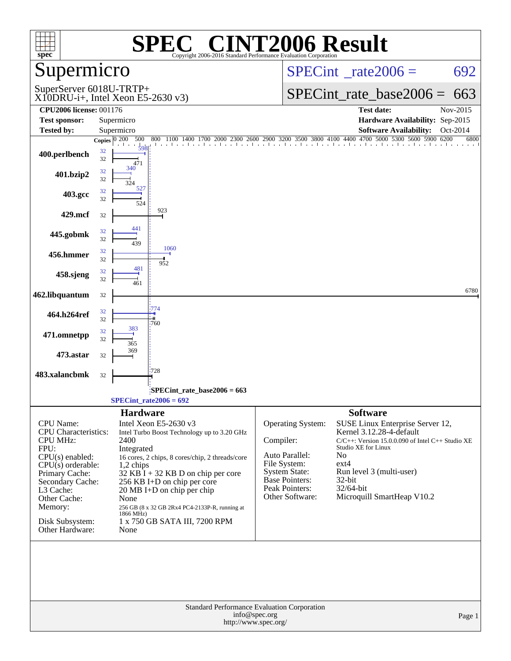| <b>INT2006 Result</b><br>$\bigcap$ $\bigcap$<br>SPE<br>spec <sup>®</sup><br>Copyright 2006-2016 Standard Performance Evaluation Corporation                                                                                         |                                                                                                                                                                                                                                                                                                                                                                                                                |                                                                                                                                                                                                                       |                                                                                                                                                                                                                      |                  |  |
|-------------------------------------------------------------------------------------------------------------------------------------------------------------------------------------------------------------------------------------|----------------------------------------------------------------------------------------------------------------------------------------------------------------------------------------------------------------------------------------------------------------------------------------------------------------------------------------------------------------------------------------------------------------|-----------------------------------------------------------------------------------------------------------------------------------------------------------------------------------------------------------------------|----------------------------------------------------------------------------------------------------------------------------------------------------------------------------------------------------------------------|------------------|--|
| Supermicro                                                                                                                                                                                                                          |                                                                                                                                                                                                                                                                                                                                                                                                                | $SPECint^{\circ}$ rate $2006 =$                                                                                                                                                                                       |                                                                                                                                                                                                                      | 692              |  |
| SuperServer 6018U-TRTP+                                                                                                                                                                                                             | $X10DRU-i+$ , Intel Xeon E5-2630 v3)                                                                                                                                                                                                                                                                                                                                                                           |                                                                                                                                                                                                                       | $SPECint_rate\_base2006 =$                                                                                                                                                                                           | 663              |  |
| <b>CPU2006 license: 001176</b>                                                                                                                                                                                                      |                                                                                                                                                                                                                                                                                                                                                                                                                |                                                                                                                                                                                                                       | <b>Test date:</b>                                                                                                                                                                                                    | Nov-2015         |  |
| <b>Test sponsor:</b>                                                                                                                                                                                                                | Supermicro                                                                                                                                                                                                                                                                                                                                                                                                     |                                                                                                                                                                                                                       | Hardware Availability: Sep-2015                                                                                                                                                                                      |                  |  |
| <b>Tested by:</b>                                                                                                                                                                                                                   | Supermicro<br>500<br>800<br>1100 1400<br>1700 2000 2300                                                                                                                                                                                                                                                                                                                                                        | 2600 2900 3200 3500 3800 4100 4400 4700 5000 5300 5600 5900 6200                                                                                                                                                      | <b>Software Availability:</b>                                                                                                                                                                                        | Oct-2014<br>6800 |  |
| 400.perlbench                                                                                                                                                                                                                       | Copies $ 0, 200 $<br>598<br>32<br>32<br>471                                                                                                                                                                                                                                                                                                                                                                    |                                                                                                                                                                                                                       |                                                                                                                                                                                                                      |                  |  |
| 401.bzip2                                                                                                                                                                                                                           | 32<br>32                                                                                                                                                                                                                                                                                                                                                                                                       |                                                                                                                                                                                                                       |                                                                                                                                                                                                                      |                  |  |
| 403.gcc                                                                                                                                                                                                                             | 527<br>32<br>32<br>524                                                                                                                                                                                                                                                                                                                                                                                         |                                                                                                                                                                                                                       |                                                                                                                                                                                                                      |                  |  |
| 429.mcf                                                                                                                                                                                                                             | 923<br>32                                                                                                                                                                                                                                                                                                                                                                                                      |                                                                                                                                                                                                                       |                                                                                                                                                                                                                      |                  |  |
| 445.gobmk                                                                                                                                                                                                                           | 441<br>32<br>32<br>439                                                                                                                                                                                                                                                                                                                                                                                         |                                                                                                                                                                                                                       |                                                                                                                                                                                                                      |                  |  |
| 456.hmmer                                                                                                                                                                                                                           | 1060<br>32<br>32<br>952                                                                                                                                                                                                                                                                                                                                                                                        |                                                                                                                                                                                                                       |                                                                                                                                                                                                                      |                  |  |
| 458.sjeng                                                                                                                                                                                                                           | 481<br>32<br>32<br>461                                                                                                                                                                                                                                                                                                                                                                                         |                                                                                                                                                                                                                       |                                                                                                                                                                                                                      |                  |  |
| 462.libquantum                                                                                                                                                                                                                      | 32                                                                                                                                                                                                                                                                                                                                                                                                             |                                                                                                                                                                                                                       |                                                                                                                                                                                                                      | 6780             |  |
| 464.h264ref                                                                                                                                                                                                                         | 774<br>32<br>32<br>'760                                                                                                                                                                                                                                                                                                                                                                                        |                                                                                                                                                                                                                       |                                                                                                                                                                                                                      |                  |  |
| 471.omnetpp                                                                                                                                                                                                                         | 383<br>32<br>32<br>365                                                                                                                                                                                                                                                                                                                                                                                         |                                                                                                                                                                                                                       |                                                                                                                                                                                                                      |                  |  |
| 473.astar                                                                                                                                                                                                                           | 369<br>32                                                                                                                                                                                                                                                                                                                                                                                                      |                                                                                                                                                                                                                       |                                                                                                                                                                                                                      |                  |  |
| 483.xalancbmk                                                                                                                                                                                                                       | '728<br>32                                                                                                                                                                                                                                                                                                                                                                                                     |                                                                                                                                                                                                                       |                                                                                                                                                                                                                      |                  |  |
|                                                                                                                                                                                                                                     | $SPECint$ rate_base2006 = 663<br>$SPECint_rate2006 = 692$                                                                                                                                                                                                                                                                                                                                                      |                                                                                                                                                                                                                       |                                                                                                                                                                                                                      |                  |  |
| CPU Name:<br><b>CPU</b> Characteristics:<br><b>CPU MHz:</b><br>FPU:<br>$CPU(s)$ enabled:<br>$CPU(s)$ orderable:<br>Primary Cache:<br>Secondary Cache:<br>L3 Cache:<br>Other Cache:<br>Memory:<br>Disk Subsystem:<br>Other Hardware: | <b>Hardware</b><br>Intel Xeon E5-2630 v3<br>Intel Turbo Boost Technology up to 3.20 GHz<br>2400<br>Integrated<br>16 cores, 2 chips, 8 cores/chip, 2 threads/core<br>$1,2$ chips<br>$32$ KB I + 32 KB D on chip per core<br>256 KB I+D on chip per core<br>$20 \text{ MB I+D}$ on chip per chip<br>None<br>256 GB (8 x 32 GB 2Rx4 PC4-2133P-R, running at<br>1866 MHz)<br>1 x 750 GB SATA III, 7200 RPM<br>None | <b>Operating System:</b><br>Compiler:<br>Auto Parallel:<br>N <sub>0</sub><br>File System:<br>$ext{4}$<br><b>System State:</b><br><b>Base Pointers:</b><br>$32$ -bit<br>Peak Pointers:<br>32/64-bit<br>Other Software: | <b>Software</b><br>SUSE Linux Enterprise Server 12,<br>Kernel 3.12.28-4-default<br>C/C++: Version 15.0.0.090 of Intel C++ Studio XE<br>Studio XE for Linux<br>Run level 3 (multi-user)<br>Microquill SmartHeap V10.2 |                  |  |
|                                                                                                                                                                                                                                     | Standard Performance Evaluation Corporation<br>info@spec.org<br>http://www.spec.org/                                                                                                                                                                                                                                                                                                                           |                                                                                                                                                                                                                       |                                                                                                                                                                                                                      | Page 1           |  |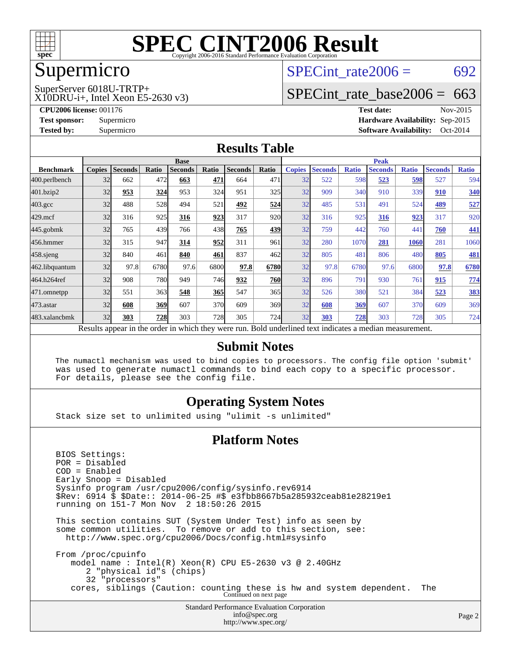

### Supermicro

## SPECint rate $2006 = 692$

X10DRU-i+, Intel Xeon E5-2630 v3) SuperServer 6018U-TRTP+

[SPECint\\_rate\\_base2006 =](http://www.spec.org/auto/cpu2006/Docs/result-fields.html#SPECintratebase2006) 663

**[CPU2006 license:](http://www.spec.org/auto/cpu2006/Docs/result-fields.html#CPU2006license)** 001176 **[Test date:](http://www.spec.org/auto/cpu2006/Docs/result-fields.html#Testdate)** Nov-2015 **[Test sponsor:](http://www.spec.org/auto/cpu2006/Docs/result-fields.html#Testsponsor)** Supermicro **[Hardware Availability:](http://www.spec.org/auto/cpu2006/Docs/result-fields.html#HardwareAvailability)** Sep-2015 **[Tested by:](http://www.spec.org/auto/cpu2006/Docs/result-fields.html#Testedby)** Supermicro **[Software Availability:](http://www.spec.org/auto/cpu2006/Docs/result-fields.html#SoftwareAvailability)** Oct-2014

#### **[Results Table](http://www.spec.org/auto/cpu2006/Docs/result-fields.html#ResultsTable)**

|                                                                                                          | <b>Base</b>   |                |       |                |            | <b>Peak</b>    |            |               |                |              |                |              |                |              |
|----------------------------------------------------------------------------------------------------------|---------------|----------------|-------|----------------|------------|----------------|------------|---------------|----------------|--------------|----------------|--------------|----------------|--------------|
| <b>Benchmark</b>                                                                                         | <b>Copies</b> | <b>Seconds</b> | Ratio | <b>Seconds</b> | Ratio      | <b>Seconds</b> | Ratio      | <b>Copies</b> | <b>Seconds</b> | <b>Ratio</b> | <b>Seconds</b> | <b>Ratio</b> | <b>Seconds</b> | <b>Ratio</b> |
| 400.perlbench                                                                                            | 32            | 662            | 472   | 663            | 471        | 664            | 471        | 32            | 522            | 598          | 523            | 598          | 527            | 594          |
| 401.bzip2                                                                                                | 32            | 953            | 324   | 953            | 324        | 951            | 325        | 32            | 909            | 340          | 910            | 339          | 910            | 340          |
| $403.\text{gcc}$                                                                                         | 32            | 488            | 528   | 494            | 521        | 492            | 524        | 32            | 485            | 531          | 491            | 524          | 489            | 527          |
| $429$ .mcf                                                                                               | 32            | 316            | 925   | 316            | 923        | 317            | 920        | 32            | 316            | 925          | 316            | 923          | 317            | 920          |
| $445$ .gobmk                                                                                             | 32            | 765            | 439   | 766            | 438        | 765            | 439        | 32            | 759            | 442          | 760            | 441          | 760            | 441          |
| 456.hmmer                                                                                                | 32            | 315            | 947   | 314            | 952        | 311            | 961        | 32            | 280            | 1070         | 281            | 1060         | 281            | 1060         |
| $458$ .sjeng                                                                                             | 32            | 840            | 461   | 840            | 461        | 837            | 462        | 32            | 805            | 481          | 806            | 480          | 805            | <b>481</b>   |
| 462.libquantum                                                                                           | 32            | 97.8           | 6780  | 97.6           | 6800       | 97.8           | 6780       | 32            | 97.8           | 6780         | 97.6           | 6800         | 97.8           | 6780         |
| 464.h264ref                                                                                              | 32            | 908            | 780   | 949            | 746        | 932            | <b>760</b> | 32            | 896            | 791          | 930            | 761          | 915            | 774          |
| 471.omnetpp                                                                                              | 32            | 551            | 363   | 548            | 365        | 547            | 365        | 32            | 526            | 380          | 521            | 384          | 523            | 383          |
| $473$ . astar                                                                                            | 32            | 608            | 369   | 607            | 370        | 609            | 369        | 32            | 608            | 369          | 607            | 370          | 609            | 369          |
| 483.xalancbmk                                                                                            | 32            | 303            | 728   | 303            | <b>728</b> | 305            | 724        | 32            | 303            | 728          | 303            | 728          | 305            | 724          |
| Results appear in the order in which they were run. Bold underlined text indicates a median measurement. |               |                |       |                |            |                |            |               |                |              |                |              |                |              |

#### **[Submit Notes](http://www.spec.org/auto/cpu2006/Docs/result-fields.html#SubmitNotes)**

 The numactl mechanism was used to bind copies to processors. The config file option 'submit' was used to generate numactl commands to bind each copy to a specific processor. For details, please see the config file.

### **[Operating System Notes](http://www.spec.org/auto/cpu2006/Docs/result-fields.html#OperatingSystemNotes)**

Stack size set to unlimited using "ulimit -s unlimited"

#### **[Platform Notes](http://www.spec.org/auto/cpu2006/Docs/result-fields.html#PlatformNotes)**

Standard Performance Evaluation Corporation [info@spec.org](mailto:info@spec.org) BIOS Settings: POR = Disabled COD = Enabled Early Snoop = Disabled Sysinfo program /usr/cpu2006/config/sysinfo.rev6914 \$Rev: 6914 \$ \$Date:: 2014-06-25 #\$ e3fbb8667b5a285932ceab81e28219e1 running on 151-7 Mon Nov 2 18:50:26 2015 This section contains SUT (System Under Test) info as seen by some common utilities. To remove or add to this section, see: <http://www.spec.org/cpu2006/Docs/config.html#sysinfo> From /proc/cpuinfo model name : Intel(R) Xeon(R) CPU E5-2630 v3 @ 2.40GHz 2 "physical id"s (chips) 32 "processors" cores, siblings (Caution: counting these is hw and system dependent. The Continued on next page

<http://www.spec.org/>

Page 2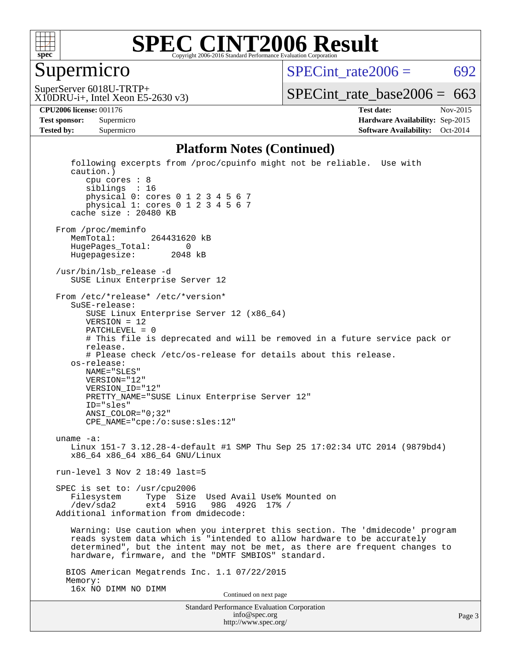

### Supermicro

SPECint rate $2006 = 692$ 

X10DRU-i+, Intel Xeon E5-2630 v3) SuperServer 6018U-TRTP+

[SPECint\\_rate\\_base2006 =](http://www.spec.org/auto/cpu2006/Docs/result-fields.html#SPECintratebase2006)  $663$ 

**[CPU2006 license:](http://www.spec.org/auto/cpu2006/Docs/result-fields.html#CPU2006license)** 001176 **[Test date:](http://www.spec.org/auto/cpu2006/Docs/result-fields.html#Testdate)** Nov-2015 **[Test sponsor:](http://www.spec.org/auto/cpu2006/Docs/result-fields.html#Testsponsor)** Supermicro **[Hardware Availability:](http://www.spec.org/auto/cpu2006/Docs/result-fields.html#HardwareAvailability)** Sep-2015 **[Tested by:](http://www.spec.org/auto/cpu2006/Docs/result-fields.html#Testedby)** Supermicro **[Software Availability:](http://www.spec.org/auto/cpu2006/Docs/result-fields.html#SoftwareAvailability)** Oct-2014

#### **[Platform Notes \(Continued\)](http://www.spec.org/auto/cpu2006/Docs/result-fields.html#PlatformNotes)**

Standard Performance Evaluation Corporation [info@spec.org](mailto:info@spec.org) following excerpts from /proc/cpuinfo might not be reliable. Use with caution.) cpu cores : 8 siblings : 16 physical 0: cores 0 1 2 3 4 5 6 7 physical 1: cores 0 1 2 3 4 5 6 7 cache size : 20480 KB From /proc/meminfo MemTotal: 264431620 kB HugePages\_Total: 0 Hugepagesize: 2048 kB /usr/bin/lsb\_release -d SUSE Linux Enterprise Server 12 From /etc/\*release\* /etc/\*version\* SuSE-release: SUSE Linux Enterprise Server 12 (x86\_64) VERSION = 12 PATCHLEVEL = 0 # This file is deprecated and will be removed in a future service pack or release. # Please check /etc/os-release for details about this release. os-release: NAME="SLES" VERSION="12" VERSION\_ID="12" PRETTY\_NAME="SUSE Linux Enterprise Server 12" ID="sles" ANSI\_COLOR="0;32" CPE\_NAME="cpe:/o:suse:sles:12" uname -a: Linux 151-7 3.12.28-4-default #1 SMP Thu Sep 25 17:02:34 UTC 2014 (9879bd4) x86\_64 x86\_64 x86\_64 GNU/Linux run-level 3 Nov 2 18:49 last=5 SPEC is set to: /usr/cpu2006 Filesystem Type Size Used Avail Use% Mounted on<br>
/dev/sda2 ext4 591G 98G 492G 17% / /dev/sda2 ext4 591G 98G 492G 17% / Additional information from dmidecode: Warning: Use caution when you interpret this section. The 'dmidecode' program reads system data which is "intended to allow hardware to be accurately determined", but the intent may not be met, as there are frequent changes to hardware, firmware, and the "DMTF SMBIOS" standard. BIOS American Megatrends Inc. 1.1 07/22/2015 Memory: 16x NO DIMM NO DIMM Continued on next page

<http://www.spec.org/>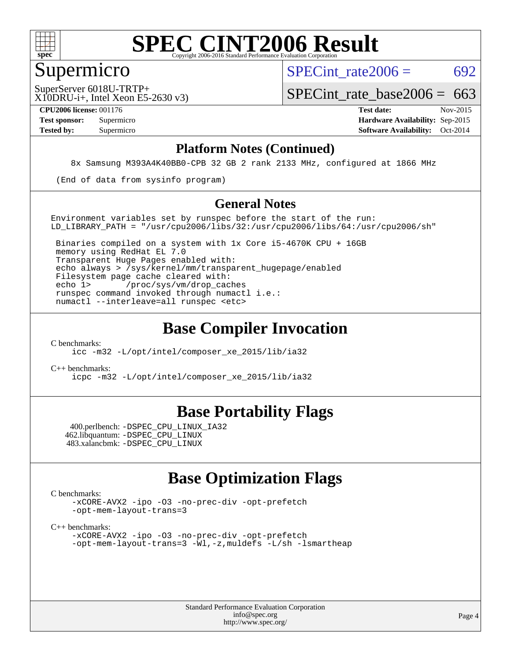

### Supermicro

SPECint rate $2006 = 692$ 

X10DRU-i+, Intel Xeon E5-2630 v3) SuperServer 6018U-TRTP+

SPECint rate base2006 =  $663$ 

**[CPU2006 license:](http://www.spec.org/auto/cpu2006/Docs/result-fields.html#CPU2006license)** 001176 **[Test date:](http://www.spec.org/auto/cpu2006/Docs/result-fields.html#Testdate)** Nov-2015 **[Test sponsor:](http://www.spec.org/auto/cpu2006/Docs/result-fields.html#Testsponsor)** Supermicro **[Hardware Availability:](http://www.spec.org/auto/cpu2006/Docs/result-fields.html#HardwareAvailability)** Sep-2015 **[Tested by:](http://www.spec.org/auto/cpu2006/Docs/result-fields.html#Testedby)** Supermicro **[Software Availability:](http://www.spec.org/auto/cpu2006/Docs/result-fields.html#SoftwareAvailability)** Oct-2014

#### **[Platform Notes \(Continued\)](http://www.spec.org/auto/cpu2006/Docs/result-fields.html#PlatformNotes)**

8x Samsung M393A4K40BB0-CPB 32 GB 2 rank 2133 MHz, configured at 1866 MHz

(End of data from sysinfo program)

#### **[General Notes](http://www.spec.org/auto/cpu2006/Docs/result-fields.html#GeneralNotes)**

Environment variables set by runspec before the start of the run: LD LIBRARY PATH = "/usr/cpu2006/libs/32:/usr/cpu2006/libs/64:/usr/cpu2006/sh"

 Binaries compiled on a system with 1x Core i5-4670K CPU + 16GB memory using RedHat EL 7.0 Transparent Huge Pages enabled with: echo always > /sys/kernel/mm/transparent\_hugepage/enabled Filesystem page cache cleared with: echo 1> /proc/sys/vm/drop\_caches runspec command invoked through numactl i.e.: numactl --interleave=all runspec <etc>

### **[Base Compiler Invocation](http://www.spec.org/auto/cpu2006/Docs/result-fields.html#BaseCompilerInvocation)**

[C benchmarks](http://www.spec.org/auto/cpu2006/Docs/result-fields.html#Cbenchmarks):

[icc -m32 -L/opt/intel/composer\\_xe\\_2015/lib/ia32](http://www.spec.org/cpu2006/results/res2016q1/cpu2006-20151215-38438.flags.html#user_CCbase_intel_icc_011b86df29f8c679b747245588698a4d)

[C++ benchmarks:](http://www.spec.org/auto/cpu2006/Docs/result-fields.html#CXXbenchmarks)

[icpc -m32 -L/opt/intel/composer\\_xe\\_2015/lib/ia32](http://www.spec.org/cpu2006/results/res2016q1/cpu2006-20151215-38438.flags.html#user_CXXbase_intel_icpc_c2c99686a1a582c3e0de0b4806b02cea)

### **[Base Portability Flags](http://www.spec.org/auto/cpu2006/Docs/result-fields.html#BasePortabilityFlags)**

 400.perlbench: [-DSPEC\\_CPU\\_LINUX\\_IA32](http://www.spec.org/cpu2006/results/res2016q1/cpu2006-20151215-38438.flags.html#b400.perlbench_baseCPORTABILITY_DSPEC_CPU_LINUX_IA32) 462.libquantum: [-DSPEC\\_CPU\\_LINUX](http://www.spec.org/cpu2006/results/res2016q1/cpu2006-20151215-38438.flags.html#b462.libquantum_baseCPORTABILITY_DSPEC_CPU_LINUX) 483.xalancbmk: [-DSPEC\\_CPU\\_LINUX](http://www.spec.org/cpu2006/results/res2016q1/cpu2006-20151215-38438.flags.html#b483.xalancbmk_baseCXXPORTABILITY_DSPEC_CPU_LINUX)

### **[Base Optimization Flags](http://www.spec.org/auto/cpu2006/Docs/result-fields.html#BaseOptimizationFlags)**

[C benchmarks](http://www.spec.org/auto/cpu2006/Docs/result-fields.html#Cbenchmarks):

[-xCORE-AVX2](http://www.spec.org/cpu2006/results/res2016q1/cpu2006-20151215-38438.flags.html#user_CCbase_f-xAVX2_5f5fc0cbe2c9f62c816d3e45806c70d7) [-ipo](http://www.spec.org/cpu2006/results/res2016q1/cpu2006-20151215-38438.flags.html#user_CCbase_f-ipo) [-O3](http://www.spec.org/cpu2006/results/res2016q1/cpu2006-20151215-38438.flags.html#user_CCbase_f-O3) [-no-prec-div](http://www.spec.org/cpu2006/results/res2016q1/cpu2006-20151215-38438.flags.html#user_CCbase_f-no-prec-div) [-opt-prefetch](http://www.spec.org/cpu2006/results/res2016q1/cpu2006-20151215-38438.flags.html#user_CCbase_f-opt-prefetch) [-opt-mem-layout-trans=3](http://www.spec.org/cpu2006/results/res2016q1/cpu2006-20151215-38438.flags.html#user_CCbase_f-opt-mem-layout-trans_a7b82ad4bd7abf52556d4961a2ae94d5)

[C++ benchmarks:](http://www.spec.org/auto/cpu2006/Docs/result-fields.html#CXXbenchmarks)

[-xCORE-AVX2](http://www.spec.org/cpu2006/results/res2016q1/cpu2006-20151215-38438.flags.html#user_CXXbase_f-xAVX2_5f5fc0cbe2c9f62c816d3e45806c70d7) [-ipo](http://www.spec.org/cpu2006/results/res2016q1/cpu2006-20151215-38438.flags.html#user_CXXbase_f-ipo) [-O3](http://www.spec.org/cpu2006/results/res2016q1/cpu2006-20151215-38438.flags.html#user_CXXbase_f-O3) [-no-prec-div](http://www.spec.org/cpu2006/results/res2016q1/cpu2006-20151215-38438.flags.html#user_CXXbase_f-no-prec-div) [-opt-prefetch](http://www.spec.org/cpu2006/results/res2016q1/cpu2006-20151215-38438.flags.html#user_CXXbase_f-opt-prefetch) [-opt-mem-layout-trans=3](http://www.spec.org/cpu2006/results/res2016q1/cpu2006-20151215-38438.flags.html#user_CXXbase_f-opt-mem-layout-trans_a7b82ad4bd7abf52556d4961a2ae94d5) [-Wl,-z,muldefs](http://www.spec.org/cpu2006/results/res2016q1/cpu2006-20151215-38438.flags.html#user_CXXbase_link_force_multiple1_74079c344b956b9658436fd1b6dd3a8a) [-L/sh -lsmartheap](http://www.spec.org/cpu2006/results/res2016q1/cpu2006-20151215-38438.flags.html#user_CXXbase_SmartHeap_32f6c82aa1ed9c52345d30cf6e4a0499)

> Standard Performance Evaluation Corporation [info@spec.org](mailto:info@spec.org) <http://www.spec.org/>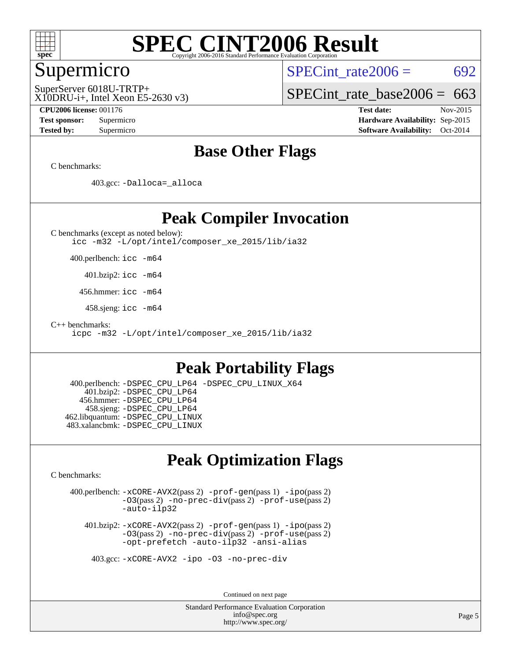

### Supermicro

SPECint rate $2006 = 692$ 

X10DRU-i+, Intel Xeon E5-2630 v3) SuperServer 6018U-TRTP+

[SPECint\\_rate\\_base2006 =](http://www.spec.org/auto/cpu2006/Docs/result-fields.html#SPECintratebase2006)  $663$ 

**[CPU2006 license:](http://www.spec.org/auto/cpu2006/Docs/result-fields.html#CPU2006license)** 001176 **[Test date:](http://www.spec.org/auto/cpu2006/Docs/result-fields.html#Testdate)** Nov-2015 **[Test sponsor:](http://www.spec.org/auto/cpu2006/Docs/result-fields.html#Testsponsor)** Supermicro **[Hardware Availability:](http://www.spec.org/auto/cpu2006/Docs/result-fields.html#HardwareAvailability)** Sep-2015 **[Tested by:](http://www.spec.org/auto/cpu2006/Docs/result-fields.html#Testedby)** Supermicro **[Software Availability:](http://www.spec.org/auto/cpu2006/Docs/result-fields.html#SoftwareAvailability)** Oct-2014

### **[Base Other Flags](http://www.spec.org/auto/cpu2006/Docs/result-fields.html#BaseOtherFlags)**

[C benchmarks](http://www.spec.org/auto/cpu2006/Docs/result-fields.html#Cbenchmarks):

403.gcc: [-Dalloca=\\_alloca](http://www.spec.org/cpu2006/results/res2016q1/cpu2006-20151215-38438.flags.html#b403.gcc_baseEXTRA_CFLAGS_Dalloca_be3056838c12de2578596ca5467af7f3)

### **[Peak Compiler Invocation](http://www.spec.org/auto/cpu2006/Docs/result-fields.html#PeakCompilerInvocation)**

[C benchmarks \(except as noted below\)](http://www.spec.org/auto/cpu2006/Docs/result-fields.html#Cbenchmarksexceptasnotedbelow): [icc -m32 -L/opt/intel/composer\\_xe\\_2015/lib/ia32](http://www.spec.org/cpu2006/results/res2016q1/cpu2006-20151215-38438.flags.html#user_CCpeak_intel_icc_011b86df29f8c679b747245588698a4d)

400.perlbench: [icc -m64](http://www.spec.org/cpu2006/results/res2016q1/cpu2006-20151215-38438.flags.html#user_peakCCLD400_perlbench_intel_icc_64bit_bda6cc9af1fdbb0edc3795bac97ada53)

401.bzip2: [icc -m64](http://www.spec.org/cpu2006/results/res2016q1/cpu2006-20151215-38438.flags.html#user_peakCCLD401_bzip2_intel_icc_64bit_bda6cc9af1fdbb0edc3795bac97ada53)

456.hmmer: [icc -m64](http://www.spec.org/cpu2006/results/res2016q1/cpu2006-20151215-38438.flags.html#user_peakCCLD456_hmmer_intel_icc_64bit_bda6cc9af1fdbb0edc3795bac97ada53)

458.sjeng: [icc -m64](http://www.spec.org/cpu2006/results/res2016q1/cpu2006-20151215-38438.flags.html#user_peakCCLD458_sjeng_intel_icc_64bit_bda6cc9af1fdbb0edc3795bac97ada53)

[C++ benchmarks:](http://www.spec.org/auto/cpu2006/Docs/result-fields.html#CXXbenchmarks)

[icpc -m32 -L/opt/intel/composer\\_xe\\_2015/lib/ia32](http://www.spec.org/cpu2006/results/res2016q1/cpu2006-20151215-38438.flags.html#user_CXXpeak_intel_icpc_c2c99686a1a582c3e0de0b4806b02cea)

### **[Peak Portability Flags](http://www.spec.org/auto/cpu2006/Docs/result-fields.html#PeakPortabilityFlags)**

 400.perlbench: [-DSPEC\\_CPU\\_LP64](http://www.spec.org/cpu2006/results/res2016q1/cpu2006-20151215-38438.flags.html#b400.perlbench_peakCPORTABILITY_DSPEC_CPU_LP64) [-DSPEC\\_CPU\\_LINUX\\_X64](http://www.spec.org/cpu2006/results/res2016q1/cpu2006-20151215-38438.flags.html#b400.perlbench_peakCPORTABILITY_DSPEC_CPU_LINUX_X64) 401.bzip2: [-DSPEC\\_CPU\\_LP64](http://www.spec.org/cpu2006/results/res2016q1/cpu2006-20151215-38438.flags.html#suite_peakCPORTABILITY401_bzip2_DSPEC_CPU_LP64) 456.hmmer: [-DSPEC\\_CPU\\_LP64](http://www.spec.org/cpu2006/results/res2016q1/cpu2006-20151215-38438.flags.html#suite_peakCPORTABILITY456_hmmer_DSPEC_CPU_LP64) 458.sjeng: [-DSPEC\\_CPU\\_LP64](http://www.spec.org/cpu2006/results/res2016q1/cpu2006-20151215-38438.flags.html#suite_peakCPORTABILITY458_sjeng_DSPEC_CPU_LP64) 462.libquantum: [-DSPEC\\_CPU\\_LINUX](http://www.spec.org/cpu2006/results/res2016q1/cpu2006-20151215-38438.flags.html#b462.libquantum_peakCPORTABILITY_DSPEC_CPU_LINUX) 483.xalancbmk: [-DSPEC\\_CPU\\_LINUX](http://www.spec.org/cpu2006/results/res2016q1/cpu2006-20151215-38438.flags.html#b483.xalancbmk_peakCXXPORTABILITY_DSPEC_CPU_LINUX)

### **[Peak Optimization Flags](http://www.spec.org/auto/cpu2006/Docs/result-fields.html#PeakOptimizationFlags)**

[C benchmarks](http://www.spec.org/auto/cpu2006/Docs/result-fields.html#Cbenchmarks):

 400.perlbench: [-xCORE-AVX2](http://www.spec.org/cpu2006/results/res2016q1/cpu2006-20151215-38438.flags.html#user_peakPASS2_CFLAGSPASS2_LDCFLAGS400_perlbench_f-xAVX2_5f5fc0cbe2c9f62c816d3e45806c70d7)(pass 2) [-prof-gen](http://www.spec.org/cpu2006/results/res2016q1/cpu2006-20151215-38438.flags.html#user_peakPASS1_CFLAGSPASS1_LDCFLAGS400_perlbench_prof_gen_e43856698f6ca7b7e442dfd80e94a8fc)(pass 1) [-ipo](http://www.spec.org/cpu2006/results/res2016q1/cpu2006-20151215-38438.flags.html#user_peakPASS2_CFLAGSPASS2_LDCFLAGS400_perlbench_f-ipo)(pass 2) [-O3](http://www.spec.org/cpu2006/results/res2016q1/cpu2006-20151215-38438.flags.html#user_peakPASS2_CFLAGSPASS2_LDCFLAGS400_perlbench_f-O3)(pass 2) [-no-prec-div](http://www.spec.org/cpu2006/results/res2016q1/cpu2006-20151215-38438.flags.html#user_peakPASS2_CFLAGSPASS2_LDCFLAGS400_perlbench_f-no-prec-div)(pass 2) [-prof-use](http://www.spec.org/cpu2006/results/res2016q1/cpu2006-20151215-38438.flags.html#user_peakPASS2_CFLAGSPASS2_LDCFLAGS400_perlbench_prof_use_bccf7792157ff70d64e32fe3e1250b55)(pass 2) [-auto-ilp32](http://www.spec.org/cpu2006/results/res2016q1/cpu2006-20151215-38438.flags.html#user_peakCOPTIMIZE400_perlbench_f-auto-ilp32)

 401.bzip2: [-xCORE-AVX2](http://www.spec.org/cpu2006/results/res2016q1/cpu2006-20151215-38438.flags.html#user_peakPASS2_CFLAGSPASS2_LDCFLAGS401_bzip2_f-xAVX2_5f5fc0cbe2c9f62c816d3e45806c70d7)(pass 2) [-prof-gen](http://www.spec.org/cpu2006/results/res2016q1/cpu2006-20151215-38438.flags.html#user_peakPASS1_CFLAGSPASS1_LDCFLAGS401_bzip2_prof_gen_e43856698f6ca7b7e442dfd80e94a8fc)(pass 1) [-ipo](http://www.spec.org/cpu2006/results/res2016q1/cpu2006-20151215-38438.flags.html#user_peakPASS2_CFLAGSPASS2_LDCFLAGS401_bzip2_f-ipo)(pass 2) [-O3](http://www.spec.org/cpu2006/results/res2016q1/cpu2006-20151215-38438.flags.html#user_peakPASS2_CFLAGSPASS2_LDCFLAGS401_bzip2_f-O3)(pass 2) [-no-prec-div](http://www.spec.org/cpu2006/results/res2016q1/cpu2006-20151215-38438.flags.html#user_peakPASS2_CFLAGSPASS2_LDCFLAGS401_bzip2_f-no-prec-div)(pass 2) [-prof-use](http://www.spec.org/cpu2006/results/res2016q1/cpu2006-20151215-38438.flags.html#user_peakPASS2_CFLAGSPASS2_LDCFLAGS401_bzip2_prof_use_bccf7792157ff70d64e32fe3e1250b55)(pass 2) [-opt-prefetch](http://www.spec.org/cpu2006/results/res2016q1/cpu2006-20151215-38438.flags.html#user_peakCOPTIMIZE401_bzip2_f-opt-prefetch) [-auto-ilp32](http://www.spec.org/cpu2006/results/res2016q1/cpu2006-20151215-38438.flags.html#user_peakCOPTIMIZE401_bzip2_f-auto-ilp32) [-ansi-alias](http://www.spec.org/cpu2006/results/res2016q1/cpu2006-20151215-38438.flags.html#user_peakCOPTIMIZE401_bzip2_f-ansi-alias)

403.gcc: [-xCORE-AVX2](http://www.spec.org/cpu2006/results/res2016q1/cpu2006-20151215-38438.flags.html#user_peakCOPTIMIZE403_gcc_f-xAVX2_5f5fc0cbe2c9f62c816d3e45806c70d7) [-ipo](http://www.spec.org/cpu2006/results/res2016q1/cpu2006-20151215-38438.flags.html#user_peakCOPTIMIZE403_gcc_f-ipo) [-O3](http://www.spec.org/cpu2006/results/res2016q1/cpu2006-20151215-38438.flags.html#user_peakCOPTIMIZE403_gcc_f-O3) [-no-prec-div](http://www.spec.org/cpu2006/results/res2016q1/cpu2006-20151215-38438.flags.html#user_peakCOPTIMIZE403_gcc_f-no-prec-div)

Continued on next page

Standard Performance Evaluation Corporation [info@spec.org](mailto:info@spec.org) <http://www.spec.org/>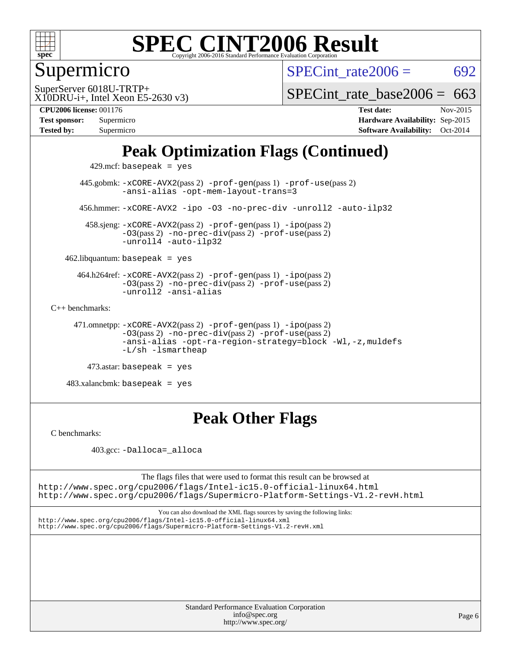

## Supermicro

SPECint rate $2006 = 692$ 

X10DRU-i+, Intel Xeon E5-2630 v3) SuperServer 6018U-TRTP+

[SPECint\\_rate\\_base2006 =](http://www.spec.org/auto/cpu2006/Docs/result-fields.html#SPECintratebase2006) 663

#### **[CPU2006 license:](http://www.spec.org/auto/cpu2006/Docs/result-fields.html#CPU2006license)** 001176 **[Test date:](http://www.spec.org/auto/cpu2006/Docs/result-fields.html#Testdate)** Nov-2015

| Test sponsor: | Supermicro |
|---------------|------------|
| Tested by:    | Supermicro |

**[Hardware Availability:](http://www.spec.org/auto/cpu2006/Docs/result-fields.html#HardwareAvailability)** Sep-2015 **[Software Availability:](http://www.spec.org/auto/cpu2006/Docs/result-fields.html#SoftwareAvailability)** Oct-2014

## **[Peak Optimization Flags \(Continued\)](http://www.spec.org/auto/cpu2006/Docs/result-fields.html#PeakOptimizationFlags)**

429.mcf: basepeak = yes

 445.gobmk: [-xCORE-AVX2](http://www.spec.org/cpu2006/results/res2016q1/cpu2006-20151215-38438.flags.html#user_peakPASS2_CFLAGSPASS2_LDCFLAGS445_gobmk_f-xAVX2_5f5fc0cbe2c9f62c816d3e45806c70d7)(pass 2) [-prof-gen](http://www.spec.org/cpu2006/results/res2016q1/cpu2006-20151215-38438.flags.html#user_peakPASS1_CFLAGSPASS1_LDCFLAGS445_gobmk_prof_gen_e43856698f6ca7b7e442dfd80e94a8fc)(pass 1) [-prof-use](http://www.spec.org/cpu2006/results/res2016q1/cpu2006-20151215-38438.flags.html#user_peakPASS2_CFLAGSPASS2_LDCFLAGS445_gobmk_prof_use_bccf7792157ff70d64e32fe3e1250b55)(pass 2) [-ansi-alias](http://www.spec.org/cpu2006/results/res2016q1/cpu2006-20151215-38438.flags.html#user_peakCOPTIMIZE445_gobmk_f-ansi-alias) [-opt-mem-layout-trans=3](http://www.spec.org/cpu2006/results/res2016q1/cpu2006-20151215-38438.flags.html#user_peakCOPTIMIZE445_gobmk_f-opt-mem-layout-trans_a7b82ad4bd7abf52556d4961a2ae94d5) 456.hmmer: [-xCORE-AVX2](http://www.spec.org/cpu2006/results/res2016q1/cpu2006-20151215-38438.flags.html#user_peakCOPTIMIZE456_hmmer_f-xAVX2_5f5fc0cbe2c9f62c816d3e45806c70d7) [-ipo](http://www.spec.org/cpu2006/results/res2016q1/cpu2006-20151215-38438.flags.html#user_peakCOPTIMIZE456_hmmer_f-ipo) [-O3](http://www.spec.org/cpu2006/results/res2016q1/cpu2006-20151215-38438.flags.html#user_peakCOPTIMIZE456_hmmer_f-O3) [-no-prec-div](http://www.spec.org/cpu2006/results/res2016q1/cpu2006-20151215-38438.flags.html#user_peakCOPTIMIZE456_hmmer_f-no-prec-div) [-unroll2](http://www.spec.org/cpu2006/results/res2016q1/cpu2006-20151215-38438.flags.html#user_peakCOPTIMIZE456_hmmer_f-unroll_784dae83bebfb236979b41d2422d7ec2) [-auto-ilp32](http://www.spec.org/cpu2006/results/res2016q1/cpu2006-20151215-38438.flags.html#user_peakCOPTIMIZE456_hmmer_f-auto-ilp32)

 458.sjeng: [-xCORE-AVX2](http://www.spec.org/cpu2006/results/res2016q1/cpu2006-20151215-38438.flags.html#user_peakPASS2_CFLAGSPASS2_LDCFLAGS458_sjeng_f-xAVX2_5f5fc0cbe2c9f62c816d3e45806c70d7)(pass 2) [-prof-gen](http://www.spec.org/cpu2006/results/res2016q1/cpu2006-20151215-38438.flags.html#user_peakPASS1_CFLAGSPASS1_LDCFLAGS458_sjeng_prof_gen_e43856698f6ca7b7e442dfd80e94a8fc)(pass 1) [-ipo](http://www.spec.org/cpu2006/results/res2016q1/cpu2006-20151215-38438.flags.html#user_peakPASS2_CFLAGSPASS2_LDCFLAGS458_sjeng_f-ipo)(pass 2) [-O3](http://www.spec.org/cpu2006/results/res2016q1/cpu2006-20151215-38438.flags.html#user_peakPASS2_CFLAGSPASS2_LDCFLAGS458_sjeng_f-O3)(pass 2) [-no-prec-div](http://www.spec.org/cpu2006/results/res2016q1/cpu2006-20151215-38438.flags.html#user_peakPASS2_CFLAGSPASS2_LDCFLAGS458_sjeng_f-no-prec-div)(pass 2) [-prof-use](http://www.spec.org/cpu2006/results/res2016q1/cpu2006-20151215-38438.flags.html#user_peakPASS2_CFLAGSPASS2_LDCFLAGS458_sjeng_prof_use_bccf7792157ff70d64e32fe3e1250b55)(pass 2) [-unroll4](http://www.spec.org/cpu2006/results/res2016q1/cpu2006-20151215-38438.flags.html#user_peakCOPTIMIZE458_sjeng_f-unroll_4e5e4ed65b7fd20bdcd365bec371b81f) [-auto-ilp32](http://www.spec.org/cpu2006/results/res2016q1/cpu2006-20151215-38438.flags.html#user_peakCOPTIMIZE458_sjeng_f-auto-ilp32)

 $462$ .libquantum: basepeak = yes

 464.h264ref: [-xCORE-AVX2](http://www.spec.org/cpu2006/results/res2016q1/cpu2006-20151215-38438.flags.html#user_peakPASS2_CFLAGSPASS2_LDCFLAGS464_h264ref_f-xAVX2_5f5fc0cbe2c9f62c816d3e45806c70d7)(pass 2) [-prof-gen](http://www.spec.org/cpu2006/results/res2016q1/cpu2006-20151215-38438.flags.html#user_peakPASS1_CFLAGSPASS1_LDCFLAGS464_h264ref_prof_gen_e43856698f6ca7b7e442dfd80e94a8fc)(pass 1) [-ipo](http://www.spec.org/cpu2006/results/res2016q1/cpu2006-20151215-38438.flags.html#user_peakPASS2_CFLAGSPASS2_LDCFLAGS464_h264ref_f-ipo)(pass 2) [-O3](http://www.spec.org/cpu2006/results/res2016q1/cpu2006-20151215-38438.flags.html#user_peakPASS2_CFLAGSPASS2_LDCFLAGS464_h264ref_f-O3)(pass 2) [-no-prec-div](http://www.spec.org/cpu2006/results/res2016q1/cpu2006-20151215-38438.flags.html#user_peakPASS2_CFLAGSPASS2_LDCFLAGS464_h264ref_f-no-prec-div)(pass 2) [-prof-use](http://www.spec.org/cpu2006/results/res2016q1/cpu2006-20151215-38438.flags.html#user_peakPASS2_CFLAGSPASS2_LDCFLAGS464_h264ref_prof_use_bccf7792157ff70d64e32fe3e1250b55)(pass 2) [-unroll2](http://www.spec.org/cpu2006/results/res2016q1/cpu2006-20151215-38438.flags.html#user_peakCOPTIMIZE464_h264ref_f-unroll_784dae83bebfb236979b41d2422d7ec2) [-ansi-alias](http://www.spec.org/cpu2006/results/res2016q1/cpu2006-20151215-38438.flags.html#user_peakCOPTIMIZE464_h264ref_f-ansi-alias)

[C++ benchmarks:](http://www.spec.org/auto/cpu2006/Docs/result-fields.html#CXXbenchmarks)

 471.omnetpp: [-xCORE-AVX2](http://www.spec.org/cpu2006/results/res2016q1/cpu2006-20151215-38438.flags.html#user_peakPASS2_CXXFLAGSPASS2_LDCXXFLAGS471_omnetpp_f-xAVX2_5f5fc0cbe2c9f62c816d3e45806c70d7)(pass 2) [-prof-gen](http://www.spec.org/cpu2006/results/res2016q1/cpu2006-20151215-38438.flags.html#user_peakPASS1_CXXFLAGSPASS1_LDCXXFLAGS471_omnetpp_prof_gen_e43856698f6ca7b7e442dfd80e94a8fc)(pass 1) [-ipo](http://www.spec.org/cpu2006/results/res2016q1/cpu2006-20151215-38438.flags.html#user_peakPASS2_CXXFLAGSPASS2_LDCXXFLAGS471_omnetpp_f-ipo)(pass 2) [-O3](http://www.spec.org/cpu2006/results/res2016q1/cpu2006-20151215-38438.flags.html#user_peakPASS2_CXXFLAGSPASS2_LDCXXFLAGS471_omnetpp_f-O3)(pass 2) [-no-prec-div](http://www.spec.org/cpu2006/results/res2016q1/cpu2006-20151215-38438.flags.html#user_peakPASS2_CXXFLAGSPASS2_LDCXXFLAGS471_omnetpp_f-no-prec-div)(pass 2) [-prof-use](http://www.spec.org/cpu2006/results/res2016q1/cpu2006-20151215-38438.flags.html#user_peakPASS2_CXXFLAGSPASS2_LDCXXFLAGS471_omnetpp_prof_use_bccf7792157ff70d64e32fe3e1250b55)(pass 2) [-ansi-alias](http://www.spec.org/cpu2006/results/res2016q1/cpu2006-20151215-38438.flags.html#user_peakCXXOPTIMIZE471_omnetpp_f-ansi-alias) [-opt-ra-region-strategy=block](http://www.spec.org/cpu2006/results/res2016q1/cpu2006-20151215-38438.flags.html#user_peakCXXOPTIMIZE471_omnetpp_f-opt-ra-region-strategy_a0a37c372d03933b2a18d4af463c1f69) [-Wl,-z,muldefs](http://www.spec.org/cpu2006/results/res2016q1/cpu2006-20151215-38438.flags.html#user_peakEXTRA_LDFLAGS471_omnetpp_link_force_multiple1_74079c344b956b9658436fd1b6dd3a8a) [-L/sh -lsmartheap](http://www.spec.org/cpu2006/results/res2016q1/cpu2006-20151215-38438.flags.html#user_peakEXTRA_LIBS471_omnetpp_SmartHeap_32f6c82aa1ed9c52345d30cf6e4a0499)

 $473$ .astar: basepeak = yes

 $483.xalanchmk: basepeak = yes$ 

## **[Peak Other Flags](http://www.spec.org/auto/cpu2006/Docs/result-fields.html#PeakOtherFlags)**

[C benchmarks](http://www.spec.org/auto/cpu2006/Docs/result-fields.html#Cbenchmarks):

403.gcc: [-Dalloca=\\_alloca](http://www.spec.org/cpu2006/results/res2016q1/cpu2006-20151215-38438.flags.html#b403.gcc_peakEXTRA_CFLAGS_Dalloca_be3056838c12de2578596ca5467af7f3)

The flags files that were used to format this result can be browsed at <http://www.spec.org/cpu2006/flags/Intel-ic15.0-official-linux64.html>

<http://www.spec.org/cpu2006/flags/Supermicro-Platform-Settings-V1.2-revH.html>

You can also download the XML flags sources by saving the following links: <http://www.spec.org/cpu2006/flags/Intel-ic15.0-official-linux64.xml> <http://www.spec.org/cpu2006/flags/Supermicro-Platform-Settings-V1.2-revH.xml>

| <b>Standard Performance Evaluation Corporation</b> |
|----------------------------------------------------|
| info@spec.org                                      |
| http://www.spec.org/                               |